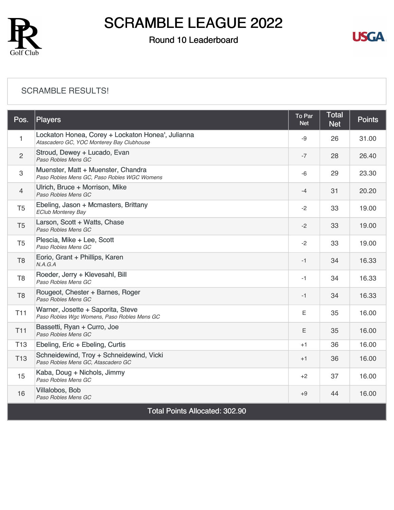

### Round 10 Leaderboard



#### [SCRAMBLE RESULTS!](https://static.golfgenius.com/v2tournaments/8448399848461352901?called_from=&round_index=10)

| Pos.                                  | Players                                                                                        | To Par<br><b>Net</b> | <b>Total</b><br><b>Net</b> | <b>Points</b> |  |  |
|---------------------------------------|------------------------------------------------------------------------------------------------|----------------------|----------------------------|---------------|--|--|
| $\mathbf{1}$                          | Lockaton Honea, Corey + Lockaton Honea', Julianna<br>Atascadero GC, YOC Monterey Bay Clubhouse | $-9$                 | 26                         | 31.00         |  |  |
| $\mathbf{2}$                          | Stroud, Dewey + Lucado, Evan<br>Paso Robles Mens GC                                            | $-7$                 | 28                         | 26.40         |  |  |
| 3                                     | Muenster, Matt + Muenster, Chandra<br>Paso Robles Mens GC, Paso Robles WGC Womens              | -6                   | 29                         | 23.30         |  |  |
| $\overline{4}$                        | Ulrich, Bruce + Morrison, Mike<br>Paso Robles Mens GC                                          | $-4$                 | 31                         | 20.20         |  |  |
| T <sub>5</sub>                        | Ebeling, Jason + Mcmasters, Brittany<br><b>EClub Monterey Bay</b>                              | $-2$                 | 33                         | 19.00         |  |  |
| T <sub>5</sub>                        | Larson, Scott + Watts, Chase<br>Paso Robles Mens GC                                            | $-2$                 | 33                         | 19.00         |  |  |
| T <sub>5</sub>                        | Plescia, Mike + Lee, Scott<br>Paso Robles Mens GC                                              | $-2$                 | 33                         | 19.00         |  |  |
| T <sub>8</sub>                        | Eorio, Grant + Phillips, Karen<br>N.A.G.A                                                      | $-1$                 | 34                         | 16.33         |  |  |
| T <sub>8</sub>                        | Roeder, Jerry + Klevesahl, Bill<br>Paso Robles Mens GC                                         | $-1$                 | 34                         | 16.33         |  |  |
| T <sub>8</sub>                        | Rougeot, Chester + Barnes, Roger<br>Paso Robles Mens GC                                        | $-1$                 | 34                         | 16.33         |  |  |
| <b>T11</b>                            | Warner, Josette + Saporita, Steve<br>Paso Robles Wgc Womens, Paso Robles Mens GC               | E                    | 35                         | 16.00         |  |  |
| <b>T11</b>                            | Bassetti, Ryan + Curro, Joe<br>Paso Robles Mens GC                                             | $\mathsf E$          | 35                         | 16.00         |  |  |
| <b>T13</b>                            | Ebeling, Eric + Ebeling, Curtis                                                                | $+1$                 | 36                         | 16.00         |  |  |
| <b>T13</b>                            | Schneidewind, Troy + Schneidewind, Vicki<br>Paso Robles Mens GC, Atascadero GC                 | $+1$                 | 36                         | 16.00         |  |  |
| 15                                    | Kaba, Doug + Nichols, Jimmy<br>Paso Robles Mens GC                                             | $+2$                 | 37                         | 16.00         |  |  |
| 16                                    | <b>Villalobos, Bob</b><br>Paso Robles Mens GC                                                  | $+9$                 | 44                         | 16.00         |  |  |
| <b>Total Points Allocated: 302.90</b> |                                                                                                |                      |                            |               |  |  |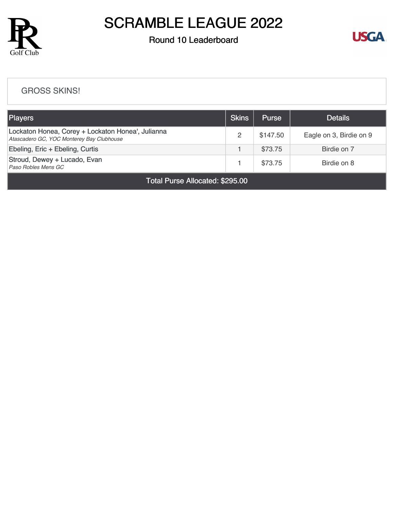

### Round 10 Leaderboard



#### [GROSS SKINS!](https://static.golfgenius.com/v2tournaments/8448400603738062790?called_from=&round_index=10)

| <b>Players</b>                                                                                 | <b>Skins</b> | <b>Purse</b> | <b>Details</b>          |
|------------------------------------------------------------------------------------------------|--------------|--------------|-------------------------|
| Lockaton Honea, Corey + Lockaton Honea', Julianna<br>Atascadero GC, YOC Monterey Bay Clubhouse | 2            | \$147.50     | Eagle on 3, Birdie on 9 |
| Ebeling, Eric + Ebeling, Curtis                                                                |              | \$73.75      | Birdie on 7             |
| Stroud, Dewey + Lucado, Evan<br>Paso Robles Mens GC                                            |              | \$73.75      | Birdie on 8             |

Total Purse Allocated: \$295.00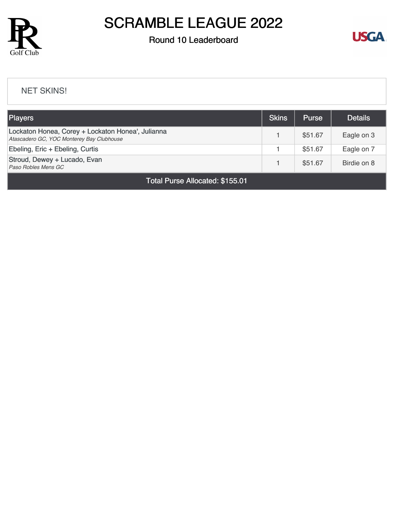

### Round 10 Leaderboard



#### [NET SKINS!](https://static.golfgenius.com/v2tournaments/8448401302676881351?called_from=&round_index=10)

| <b>Players</b>                                                                                 | <b>Skins</b> | <b>Purse</b> | <b>Details</b> |  |  |
|------------------------------------------------------------------------------------------------|--------------|--------------|----------------|--|--|
| Lockaton Honea, Corey + Lockaton Honea', Julianna<br>Atascadero GC, YOC Monterey Bay Clubhouse |              | \$51.67      | Eagle on 3     |  |  |
| Ebeling, Eric + Ebeling, Curtis                                                                |              | \$51.67      | Eagle on 7     |  |  |
| Stroud, Dewey + Lucado, Evan<br>Paso Robles Mens GC                                            |              | \$51.67      | Birdie on 8    |  |  |
| Total Purse Allocated: \$155.01                                                                |              |              |                |  |  |